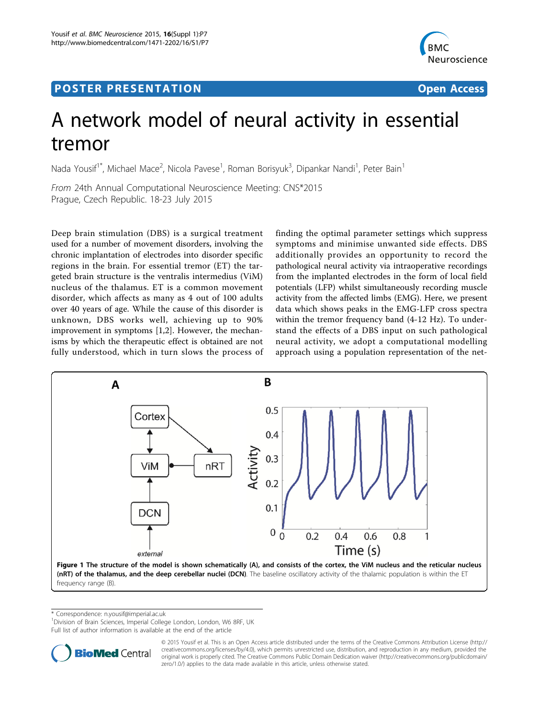## Post Experimental Police in the St English Police in the St English Police in the St English Police in the St<br>Police in the St English Police in the St English Police in the St English Police in the St English Police in



# A network model of neural activity in essential tremor

Nada Yousif<sup>1\*</sup>, Michael Mace<sup>2</sup>, Nicola Pavese<sup>1</sup>, Roman Borisyuk<sup>3</sup>, Dipankar Nandi<sup>1</sup>, Peter Bain<sup>1</sup>

From 24th Annual Computational Neuroscience Meeting: CNS\*2015 Prague, Czech Republic. 18-23 July 2015

Deep brain stimulation (DBS) is a surgical treatment used for a number of movement disorders, involving the chronic implantation of electrodes into disorder specific regions in the brain. For essential tremor (ET) the targeted brain structure is the ventralis intermedius (ViM) nucleus of the thalamus. ET is a common movement disorder, which affects as many as 4 out of 100 adults over 40 years of age. While the cause of this disorder is unknown, DBS works well, achieving up to 90% improvement in symptoms [\[1,2](#page-1-0)]. However, the mechanisms by which the therapeutic effect is obtained are not fully understood, which in turn slows the process of

finding the optimal parameter settings which suppress symptoms and minimise unwanted side effects. DBS additionally provides an opportunity to record the pathological neural activity via intraoperative recordings from the implanted electrodes in the form of local field potentials (LFP) whilst simultaneously recording muscle activity from the affected limbs (EMG). Here, we present data which shows peaks in the EMG-LFP cross spectra within the tremor frequency band (4-12 Hz). To understand the effects of a DBS input on such pathological neural activity, we adopt a computational modelling approach using a population representation of the net-



\* Correspondence: [n.yousif@imperial.ac.uk](mailto:n.yousif@imperial.ac.uk)

<sup>1</sup> Division of Brain Sciences, Imperial College London, London, W6 8RF, UK

Full list of author information is available at the end of the article



© 2015 Yousif et al. This is an Open Access article distributed under the terms of the Creative Commons Attribution License [\(http://](http://creativecommons.org/licenses/by/4.0) [creativecommons.org/licenses/by/4.0](http://creativecommons.org/licenses/by/4.0)), which permits unrestricted use, distribution, and reproduction in any medium, provided the original work is properly cited. The Creative Commons Public Domain Dedication waiver ([http://creativecommons.org/publicdomain/](http://creativecommons.org/publicdomain/zero/1.0/) [zero/1.0/](http://creativecommons.org/publicdomain/zero/1.0/)) applies to the data made available in this article, unless otherwise stated.